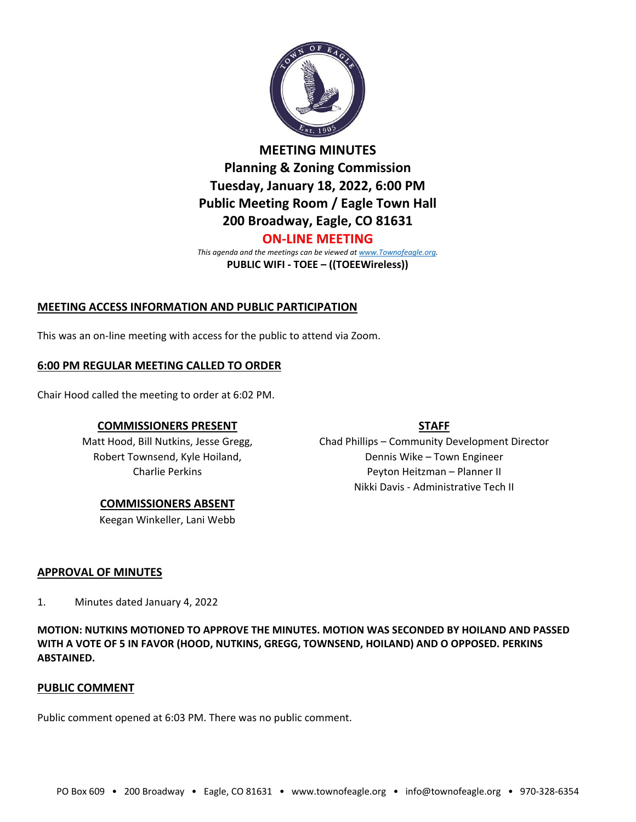

**MEETING MINUTES Planning & Zoning Commission Tuesday, January 18, 2022, 6:00 PM Public Meeting Room / Eagle Town Hall 200 Broadway, Eagle, CO 81631 ON-LINE MEETING**

*This agenda and the meetings can be viewed a[t www.Townofeagle.org.](http://www.townofeagle.org/)* **PUBLIC WIFI - TOEE – ((TOEEWireless))**

# **MEETING ACCESS INFORMATION AND PUBLIC PARTICIPATION**

This was an on-line meeting with access for the public to attend via Zoom.

## **6:00 PM REGULAR MEETING CALLED TO ORDER**

Chair Hood called the meeting to order at 6:02 PM.

## **COMMISSIONERS PRESENT**

Matt Hood, Bill Nutkins, Jesse Gregg, Robert Townsend, Kyle Hoiland, Charlie Perkins

#### **COMMISSIONERS ABSENT**

Keegan Winkeller, Lani Webb

# **STAFF**

Chad Phillips – Community Development Director Dennis Wike – Town Engineer Peyton Heitzman – Planner II Nikki Davis - Administrative Tech II

## **APPROVAL OF MINUTES**

1. Minutes dated January 4, 2022

**MOTION: NUTKINS MOTIONED TO APPROVE THE MINUTES. MOTION WAS SECONDED BY HOILAND AND PASSED WITH A VOTE OF 5 IN FAVOR (HOOD, NUTKINS, GREGG, TOWNSEND, HOILAND) AND O OPPOSED. PERKINS ABSTAINED.**

#### **PUBLIC COMMENT**

Public comment opened at 6:03 PM. There was no public comment.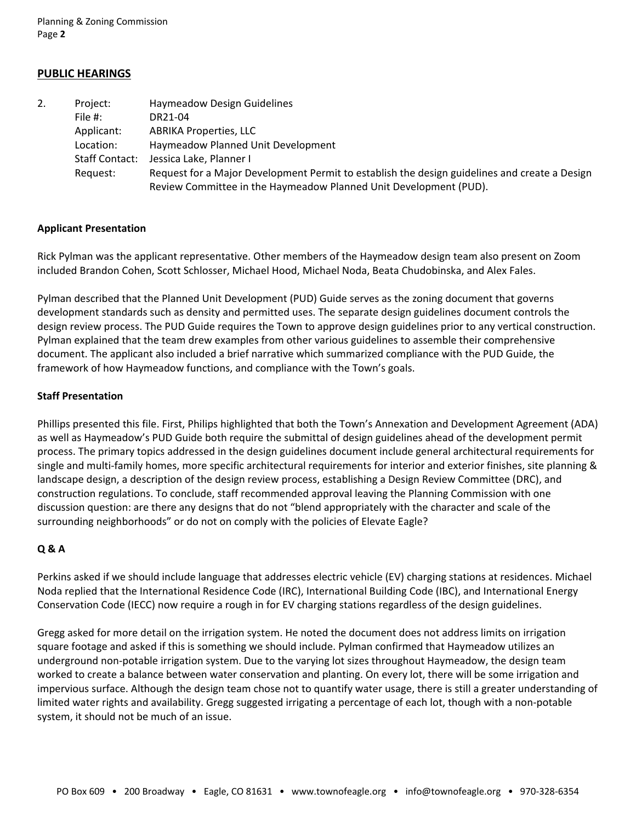Planning & Zoning Commission Page **2**

### **PUBLIC HEARINGS**

| 2. | Project:              | <b>Haymeadow Design Guidelines</b>                                                            |
|----|-----------------------|-----------------------------------------------------------------------------------------------|
|    | File $#$ :            | DR21-04                                                                                       |
|    | Applicant:            | <b>ABRIKA Properties, LLC</b>                                                                 |
|    | Location:             | Haymeadow Planned Unit Development                                                            |
|    | <b>Staff Contact:</b> | Jessica Lake, Planner I                                                                       |
|    | Reguest:              | Request for a Major Development Permit to establish the design guidelines and create a Design |
|    |                       | Review Committee in the Haymeadow Planned Unit Development (PUD).                             |

#### **Applicant Presentation**

Rick Pylman was the applicant representative. Other members of the Haymeadow design team also present on Zoom included Brandon Cohen, Scott Schlosser, Michael Hood, Michael Noda, Beata Chudobinska, and Alex Fales.

Pylman described that the Planned Unit Development (PUD) Guide serves as the zoning document that governs development standards such as density and permitted uses. The separate design guidelines document controls the design review process. The PUD Guide requires the Town to approve design guidelines prior to any vertical construction. Pylman explained that the team drew examples from other various guidelines to assemble their comprehensive document. The applicant also included a brief narrative which summarized compliance with the PUD Guide, the framework of how Haymeadow functions, and compliance with the Town's goals.

#### **Staff Presentation**

Phillips presented this file. First, Philips highlighted that both the Town's Annexation and Development Agreement (ADA) as well as Haymeadow's PUD Guide both require the submittal of design guidelines ahead of the development permit process. The primary topics addressed in the design guidelines document include general architectural requirements for single and multi-family homes, more specific architectural requirements for interior and exterior finishes, site planning & landscape design, a description of the design review process, establishing a Design Review Committee (DRC), and construction regulations. To conclude, staff recommended approval leaving the Planning Commission with one discussion question: are there any designs that do not "blend appropriately with the character and scale of the surrounding neighborhoods" or do not on comply with the policies of Elevate Eagle?

#### **Q & A**

Perkins asked if we should include language that addresses electric vehicle (EV) charging stations at residences. Michael Noda replied that the International Residence Code (IRC), International Building Code (IBC), and International Energy Conservation Code (IECC) now require a rough in for EV charging stations regardless of the design guidelines.

Gregg asked for more detail on the irrigation system. He noted the document does not address limits on irrigation square footage and asked if this is something we should include. Pylman confirmed that Haymeadow utilizes an underground non-potable irrigation system. Due to the varying lot sizes throughout Haymeadow, the design team worked to create a balance between water conservation and planting. On every lot, there will be some irrigation and impervious surface. Although the design team chose not to quantify water usage, there is still a greater understanding of limited water rights and availability. Gregg suggested irrigating a percentage of each lot, though with a non-potable system, it should not be much of an issue.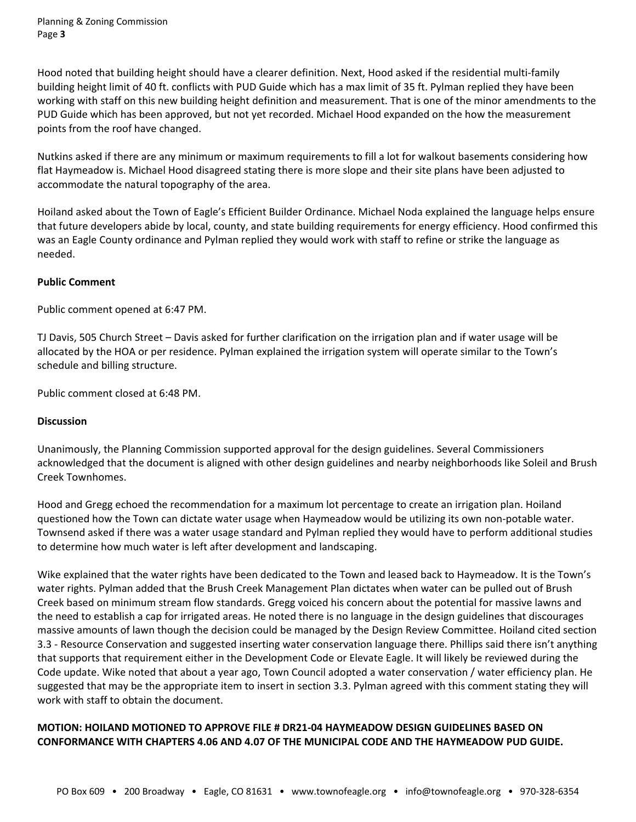Hood noted that building height should have a clearer definition. Next, Hood asked if the residential multi-family building height limit of 40 ft. conflicts with PUD Guide which has a max limit of 35 ft. Pylman replied they have been working with staff on this new building height definition and measurement. That is one of the minor amendments to the PUD Guide which has been approved, but not yet recorded. Michael Hood expanded on the how the measurement points from the roof have changed.

Nutkins asked if there are any minimum or maximum requirements to fill a lot for walkout basements considering how flat Haymeadow is. Michael Hood disagreed stating there is more slope and their site plans have been adjusted to accommodate the natural topography of the area.

Hoiland asked about the Town of Eagle's Efficient Builder Ordinance. Michael Noda explained the language helps ensure that future developers abide by local, county, and state building requirements for energy efficiency. Hood confirmed this was an Eagle County ordinance and Pylman replied they would work with staff to refine or strike the language as needed.

### **Public Comment**

Public comment opened at 6:47 PM.

TJ Davis, 505 Church Street – Davis asked for further clarification on the irrigation plan and if water usage will be allocated by the HOA or per residence. Pylman explained the irrigation system will operate similar to the Town's schedule and billing structure.

Public comment closed at 6:48 PM.

#### **Discussion**

Unanimously, the Planning Commission supported approval for the design guidelines. Several Commissioners acknowledged that the document is aligned with other design guidelines and nearby neighborhoods like Soleil and Brush Creek Townhomes.

Hood and Gregg echoed the recommendation for a maximum lot percentage to create an irrigation plan. Hoiland questioned how the Town can dictate water usage when Haymeadow would be utilizing its own non-potable water. Townsend asked if there was a water usage standard and Pylman replied they would have to perform additional studies to determine how much water is left after development and landscaping.

Wike explained that the water rights have been dedicated to the Town and leased back to Haymeadow. It is the Town's water rights. Pylman added that the Brush Creek Management Plan dictates when water can be pulled out of Brush Creek based on minimum stream flow standards. Gregg voiced his concern about the potential for massive lawns and the need to establish a cap for irrigated areas. He noted there is no language in the design guidelines that discourages massive amounts of lawn though the decision could be managed by the Design Review Committee. Hoiland cited section 3.3 - Resource Conservation and suggested inserting water conservation language there. Phillips said there isn't anything that supports that requirement either in the Development Code or Elevate Eagle. It will likely be reviewed during the Code update. Wike noted that about a year ago, Town Council adopted a water conservation / water efficiency plan. He suggested that may be the appropriate item to insert in section 3.3. Pylman agreed with this comment stating they will work with staff to obtain the document.

## **MOTION: HOILAND MOTIONED TO APPROVE FILE # DR21-04 HAYMEADOW DESIGN GUIDELINES BASED ON CONFORMANCE WITH CHAPTERS 4.06 AND 4.07 OF THE MUNICIPAL CODE AND THE HAYMEADOW PUD GUIDE.**